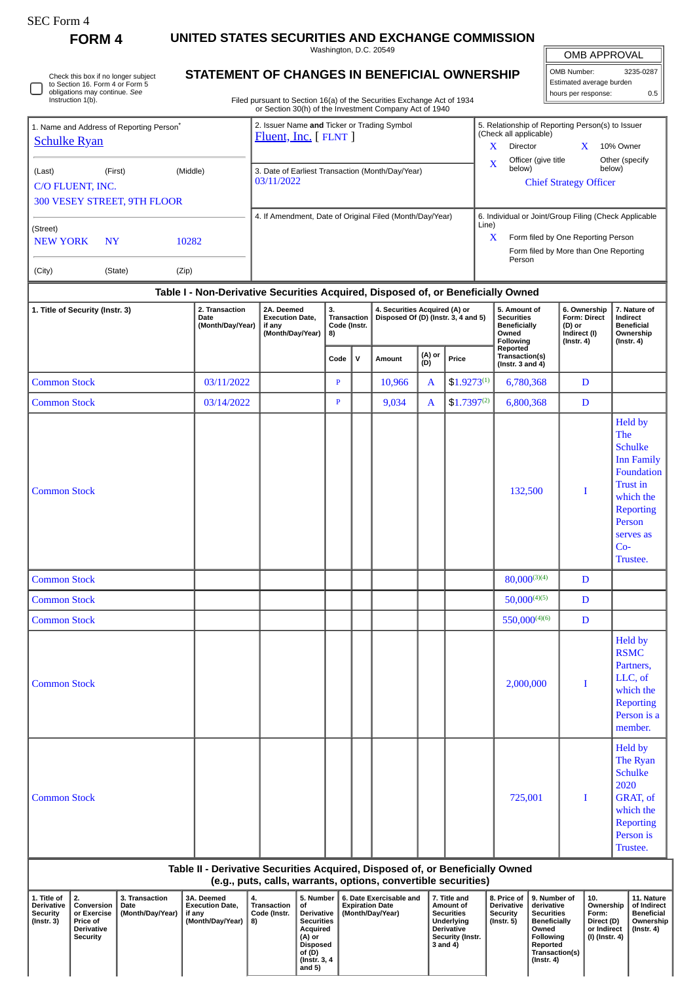| SEC Form- |
|-----------|
|-----------|

**FORM 4 UNITED STATES SECURITIES AND EXCHANGE COMMISSION**

Washington, D.C. 20549

## **STATEMENT OF CHANGES IN BENEFICIAL OWNERSHIP**

Filed pursuant to Section 16(a) of the Securities Exchange Act of 1934 or Section 30(h) of the Investment Company Act of 1940

| OMB APPROVAL             |     |  |  |  |  |  |  |  |  |  |  |
|--------------------------|-----|--|--|--|--|--|--|--|--|--|--|
| OMB Number:<br>3235-0287 |     |  |  |  |  |  |  |  |  |  |  |
| Estimated average burden |     |  |  |  |  |  |  |  |  |  |  |
| hours per response:      | 0.5 |  |  |  |  |  |  |  |  |  |  |

| 1. Name and Address of Reporting Person <sup>®</sup><br><b>Schulke Ryan</b>                                           |         |          |                | 2. Issuer Name and Ticker or Trading Symbol<br>$Fluent, Inc.$ [ $FLNT$ ] |      |                                                                                  | 5. Relationship of Reporting Person(s) to Issuer<br>(Check all applicable)<br>X<br>Director<br>10% Owner                                                     |                               |                                    |                          |  |  |
|-----------------------------------------------------------------------------------------------------------------------|---------|----------|----------------|--------------------------------------------------------------------------|------|----------------------------------------------------------------------------------|--------------------------------------------------------------------------------------------------------------------------------------------------------------|-------------------------------|------------------------------------|--------------------------|--|--|
| (Last)<br>C/O FLUENT, INC.                                                                                            | (First) | (Middle) |                | 3. Date of Earliest Transaction (Month/Day/Year)<br>03/11/2022           |      |                                                                                  | $\mathbf x$                                                                                                                                                  | Officer (give title<br>below) | X<br><b>Chief Strategy Officer</b> | Other (specify<br>below) |  |  |
| <b>300 VESEY STREET, 9TH FLOOR</b><br>(Street)<br><b>NEW YORK</b><br><b>NY</b><br>10282<br>(City)<br>(State)<br>(Zip) |         |          |                |                                                                          |      | 4. If Amendment, Date of Original Filed (Month/Day/Year)                         | 6. Individual or Joint/Group Filing (Check Applicable<br>Line)<br>X<br>Form filed by One Reporting Person<br>Form filed by More than One Reporting<br>Person |                               |                                    |                          |  |  |
|                                                                                                                       |         |          |                |                                                                          |      | Table I - Non-Derivative Securities Acquired, Disposed of, or Beneficially Owned |                                                                                                                                                              |                               |                                    |                          |  |  |
| 1. Title of Security (Instr. 3)                                                                                       |         |          | 2. Transaction | 2A. Deemed                                                               | l 3. | 4. Securities Acquired (A) or                                                    |                                                                                                                                                              | 5. Amount of                  | 6. Ownership                       | 7. Nature of             |  |  |

## **1. Title of Security (Instr. 3) 2. Transaction Date (Month/Day/Year) 2A. Deemed Execution Date, if any (Month/Day/Year) 3. Transaction 4. Securities Acquired (A) or Disposed Of (D) (Instr. 3, 4 and 5) Code (Instr. 8) 5. Amount of Securities Beneficially Owned Following Reported Transaction(s) (Instr. 3 and 4) 6. Ownership Form: Direct (D) or Indirect (I) (Instr. 4) 7. Nature of Indirect Beneficial Ownership (Instr. 4)**  $\text{Code}$  **V Amount**  $\begin{bmatrix} (A) \text{ or } \\ (D) \end{bmatrix}$  Price Common Stock **Common Stock P** 10,966 A  $$1.9273^{(1)}$$  6,780,368 D Common Stock 03/14/2022 P 9,034 A  $\left| \begin{array}{cc} 9.17397^{(2)} & 6,800,368 \end{array} \right|$  D Common Stock 132,500 | 1 Held by The **Schulke** Inn Family Foundation Trust in which the Reporting Person serves as Co-Trustee. Common Stock  $\Box$  D Common Stock 50,000(4)(5) D Common Stock 550,000(4)(6) D Common Stock 2,000,000 I Held by RSMC Partners, LLC, of which the Reporting Person is a member. Common Stock 725,001 I Held by The Ryan **Schulke** 2020 GRAT, of which the Reporting Person is Trustee.

## **Table II - Derivative Securities Acquired, Disposed of, or Beneficially Owned (e.g., puts, calls, warrants, options, convertible securities)**

| L. Title of<br><b>Derivative</b><br><b>Security</b><br>(Instr. 3) | Conversion<br>l or Exercise<br>Price of<br><b>Derivative</b><br><b>Security</b> | 3. Transaction<br>Date<br>(Month/Day/Year) | 3A. Deemed<br><b>Execution Date.</b><br>if anv<br>(Month/Dav/Year) | 4.<br>Transaction<br>Code (Instr.<br>8) | 5. Number<br>οf<br><b>Derivative</b><br><b>Securities</b><br>Acauired<br>(A) or<br>Disposed<br>of (D)<br>  (Instr. 3, 4<br>and 5) | 6. Date Exercisable and<br><b>Expiration Date</b><br>(Month/Dav/Year) | 7. Title and<br>Amount of<br><b>Securities</b><br>Underlying<br><b>Derivative</b><br>Security (Instr.<br>3 and 4) | <b>Derivative</b><br>Security<br>(Instr. 5) | 8. Price of 19. Number of<br>derivative<br><b>Securities</b><br><b>Beneficially</b><br>Owned<br>Following<br>Reported<br>Transaction(s)<br>(Instr. 4) | 10.<br>Ownership<br>Form:<br>Direct (D)<br>or Indirect<br>  (I) (Instr. 4) | 11. Nature<br>of Indirect<br>Beneficial<br>Ownership<br>(Instr. 4) |
|-------------------------------------------------------------------|---------------------------------------------------------------------------------|--------------------------------------------|--------------------------------------------------------------------|-----------------------------------------|-----------------------------------------------------------------------------------------------------------------------------------|-----------------------------------------------------------------------|-------------------------------------------------------------------------------------------------------------------|---------------------------------------------|-------------------------------------------------------------------------------------------------------------------------------------------------------|----------------------------------------------------------------------------|--------------------------------------------------------------------|